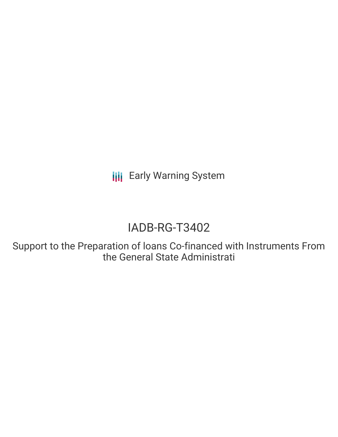**III** Early Warning System

# IADB-RG-T3402

Support to the Preparation of loans Co-financed with Instruments From the General State Administrati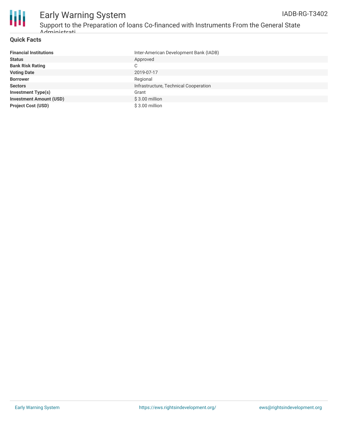



### Early Warning System Support to the Preparation of loans Co-financed with Instruments From the General State Administrati

#### **Quick Facts**

| <b>Financial Institutions</b>  | Inter-American Development Bank (IADB) |
|--------------------------------|----------------------------------------|
| <b>Status</b>                  | Approved                               |
| <b>Bank Risk Rating</b>        | C                                      |
| <b>Voting Date</b>             | 2019-07-17                             |
| <b>Borrower</b>                | Regional                               |
| <b>Sectors</b>                 | Infrastructure, Technical Cooperation  |
| <b>Investment Type(s)</b>      | Grant                                  |
| <b>Investment Amount (USD)</b> | $$3.00$ million                        |
| <b>Project Cost (USD)</b>      | $$3.00$ million                        |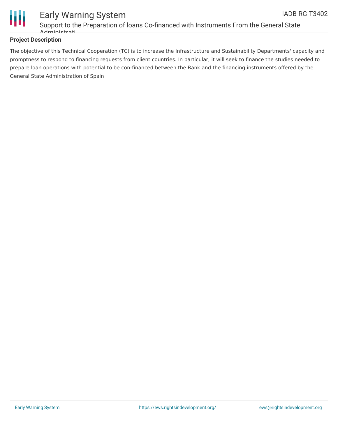



### Early Warning System Support to the Preparation of loans Co-financed with Instruments From the General State Administrati

#### **Project Description**

The objective of this Technical Cooperation (TC) is to increase the Infrastructure and Sustainability Departments' capacity and promptness to respond to financing requests from client countries. In particular, it will seek to finance the studies needed to prepare loan operations with potential to be con-financed between the Bank and the financing instruments offered by the General State Administration of Spain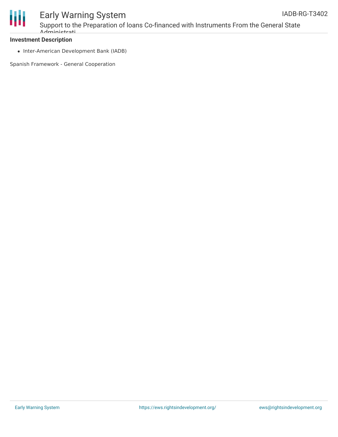

## Early Warning System Support to the Preparation of loans Co-financed with Instruments From the General State

#### **Investment Description**

• Inter-American Development Bank (IADB)

Spanish Framework - General Cooperation

Administrati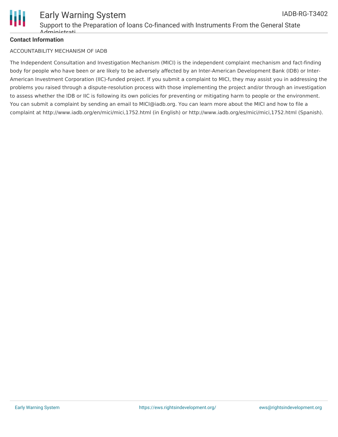

#### **Contact Information**

#### ACCOUNTABILITY MECHANISM OF IADB

The Independent Consultation and Investigation Mechanism (MICI) is the independent complaint mechanism and fact-finding body for people who have been or are likely to be adversely affected by an Inter-American Development Bank (IDB) or Inter-American Investment Corporation (IIC)-funded project. If you submit a complaint to MICI, they may assist you in addressing the problems you raised through a dispute-resolution process with those implementing the project and/or through an investigation to assess whether the IDB or IIC is following its own policies for preventing or mitigating harm to people or the environment. You can submit a complaint by sending an email to MICI@iadb.org. You can learn more about the MICI and how to file a complaint at http://www.iadb.org/en/mici/mici,1752.html (in English) or http://www.iadb.org/es/mici/mici,1752.html (Spanish).